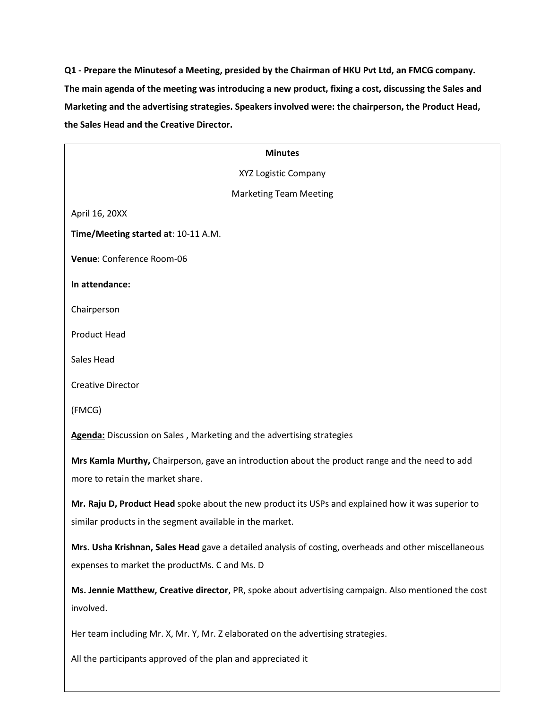**Q1 - Prepare the Minutesof a Meeting, presided by the Chairman of HKU Pvt Ltd, an FMCG company. The main agenda of the meeting was introducing a new product, fixing a cost, discussing the Sales and Marketing and the advertising strategies. Speakers involved were: the chairperson, the Product Head, the Sales Head and the Creative Director.**

| <b>Minutes</b>                                                                                        |
|-------------------------------------------------------------------------------------------------------|
| XYZ Logistic Company                                                                                  |
| <b>Marketing Team Meeting</b>                                                                         |
| April 16, 20XX                                                                                        |
| Time/Meeting started at: 10-11 A.M.                                                                   |
| Venue: Conference Room-06                                                                             |
| In attendance:                                                                                        |
| Chairperson                                                                                           |
| <b>Product Head</b>                                                                                   |
| Sales Head                                                                                            |
| <b>Creative Director</b>                                                                              |
| (FMCG)                                                                                                |
| Agenda: Discussion on Sales, Marketing and the advertising strategies                                 |
| Mrs Kamla Murthy, Chairperson, gave an introduction about the product range and the need to add       |
| more to retain the market share.                                                                      |
| Mr. Raju D, Product Head spoke about the new product its USPs and explained how it was superior to    |
| similar products in the segment available in the market.                                              |
| Mrs. Usha Krishnan, Sales Head gave a detailed analysis of costing, overheads and other miscellaneous |
| expenses to market the productMs. C and Ms. D                                                         |
| Ms. Jennie Matthew, Creative director, PR, spoke about advertising campaign. Also mentioned the cost  |
| involved.                                                                                             |
| Her team including Mr. X, Mr. Y, Mr. Z elaborated on the advertising strategies.                      |
| All the participants approved of the plan and appreciated it                                          |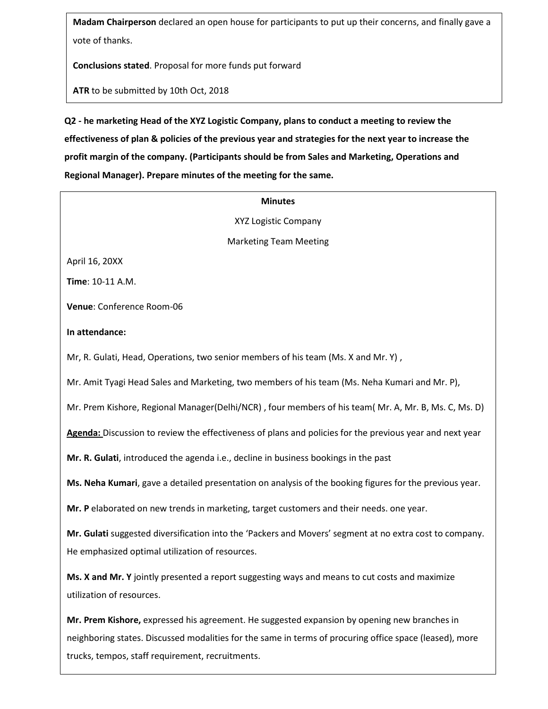**Madam Chairperson** declared an open house for participants to put up their concerns, and finally gave a vote of thanks.

**Conclusions stated**. Proposal for more funds put forward

**ATR** to be submitted by 10th Oct, 2018

**Q2 - he marketing Head of the XYZ Logistic Company, plans to conduct a meeting to review the effectiveness of plan & policies of the previous year and strategies for the next year to increase the profit margin of the company. (Participants should be from Sales and Marketing, Operations and Regional Manager). Prepare minutes of the meeting for the same.**

# **Minutes** XYZ Logistic Company Marketing Team Meeting April 16, 20XX **Time**: 10-11 A.M. **Venue**: Conference Room-06 **In attendance:**  Mr, R. Gulati, Head, Operations, two senior members of his team (Ms. X and Mr. Y) , Mr. Amit Tyagi Head Sales and Marketing, two members of his team (Ms. Neha Kumari and Mr. P), Mr. Prem Kishore, Regional Manager(Delhi/NCR) , four members of his team( Mr. A, Mr. B, Ms. C, Ms. D) **Agenda:** Discussion to review the effectiveness of plans and policies for the previous year and next year **Mr. R. Gulati**, introduced the agenda i.e., decline in business bookings in the past **Ms. Neha Kumari**, gave a detailed presentation on analysis of the booking figures for the previous year. **Mr. P** elaborated on new trends in marketing, target customers and their needs. one year. **Mr. Gulati** suggested diversification into the 'Packers and Movers' segment at no extra cost to company. He emphasized optimal utilization of resources. **Ms. X and Mr. Y** jointly presented a report suggesting ways and means to cut costs and maximize utilization of resources. **Mr. Prem Kishore,** expressed his agreement. He suggested expansion by opening new branches in

neighboring states. Discussed modalities for the same in terms of procuring office space (leased), more trucks, tempos, staff requirement, recruitments.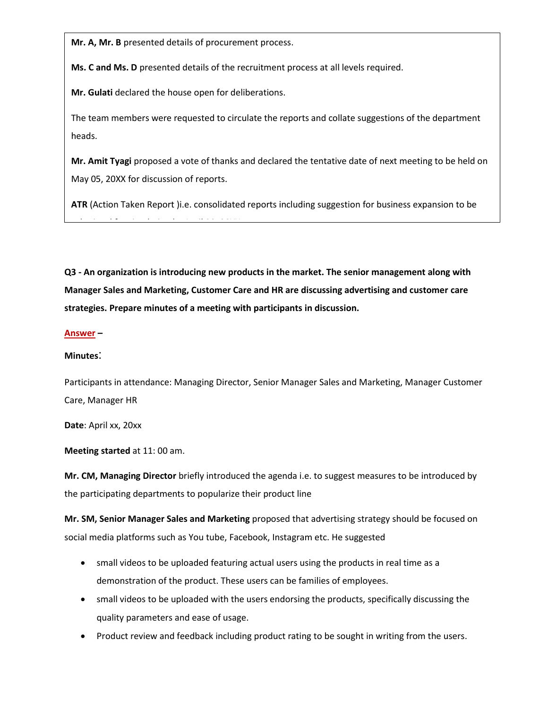**Mr. A, Mr. B** presented details of procurement process.

**Ms. C and Ms. D** presented details of the recruitment process at all levels required.

**Mr. Gulati** declared the house open for deliberations.

The team members were requested to circulate the reports and collate suggestions of the department heads.

**Mr. Amit Tyagi** proposed a vote of thanks and declared the tentative date of next meeting to be held on May 05, 20XX for discussion of reports.

**ATR** (Action Taken Report )i.e. consolidated reports including suggestion for business expansion to be submitted for circulation by April 30, 20XX.<br>The circulation by April 30, 20XX.

**Q3 - An organization is introducing new products in the market. The senior management along with Manager Sales and Marketing, Customer Care and HR are discussing advertising and customer care strategies. Prepare minutes of a meeting with participants in discussion.**

#### **Answer –**

#### **Minutes**:

Participants in attendance: Managing Director, Senior Manager Sales and Marketing, Manager Customer Care, Manager HR

**Date**: April xx, 20xx

**Meeting started** at 11: 00 am.

**Mr. CM, Managing Director** briefly introduced the agenda i.e. to suggest measures to be introduced by the participating departments to popularize their product line

**Mr. SM, Senior Manager Sales and Marketing** proposed that advertising strategy should be focused on social media platforms such as You tube, Facebook, Instagram etc. He suggested

- small videos to be uploaded featuring actual users using the products in real time as a demonstration of the product. These users can be families of employees.
- small videos to be uploaded with the users endorsing the products, specifically discussing the quality parameters and ease of usage.
- Product review and feedback including product rating to be sought in writing from the users.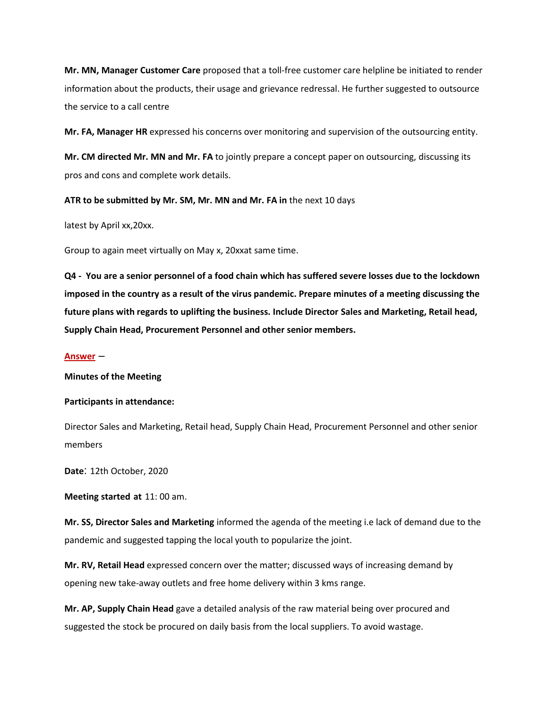**Mr. MN, Manager Customer Care** proposed that a toll-free customer care helpline be initiated to render information about the products, their usage and grievance redressal. He further suggested to outsource the service to a call centre

**Mr. FA, Manager HR** expressed his concerns over monitoring and supervision of the outsourcing entity.

**Mr. CM directed Mr. MN and Mr. FA** to jointly prepare a concept paper on outsourcing, discussing its pros and cons and complete work details.

**ATR to be submitted by Mr. SM, Mr. MN and Mr. FA in** the next 10 days

latest by April xx,20xx.

Group to again meet virtually on May x, 20xxat same time.

**Q4 - You are a senior personnel of a food chain which has suffered severe losses due to the lockdown imposed in the country as a result of the virus pandemic. Prepare minutes of a meeting discussing the future plans with regards to uplifting the business. Include Director Sales and Marketing, Retail head, Supply Chain Head, Procurement Personnel and other senior members.**

### **Answer** –

#### **Minutes of the Meeting**

#### **Participants in attendance:**

Director Sales and Marketing, Retail head, Supply Chain Head, Procurement Personnel and other senior members

**Date**: 12th October, 2020

**Meeting started at** 11: 00 am.

**Mr. SS, Director Sales and Marketing** informed the agenda of the meeting i.e lack of demand due to the pandemic and suggested tapping the local youth to popularize the joint.

**Mr. RV, Retail Head** expressed concern over the matter; discussed ways of increasing demand by opening new take-away outlets and free home delivery within 3 kms range.

**Mr. AP, Supply Chain Head** gave a detailed analysis of the raw material being over procured and suggested the stock be procured on daily basis from the local suppliers. To avoid wastage.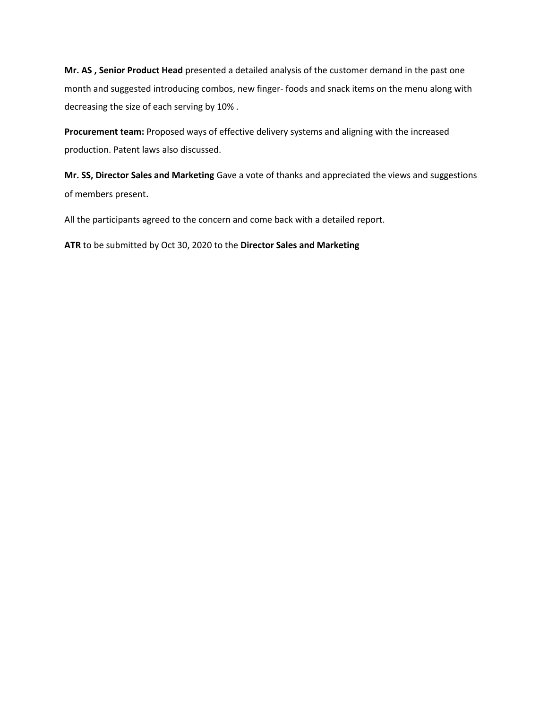**Mr. AS , Senior Product Head** presented a detailed analysis of the customer demand in the past one month and suggested introducing combos, new finger- foods and snack items on the menu along with decreasing the size of each serving by 10% .

**Procurement team:** Proposed ways of effective delivery systems and aligning with the increased production. Patent laws also discussed.

**Mr. SS, Director Sales and Marketing** Gave a vote of thanks and appreciated the views and suggestions of members present.

All the participants agreed to the concern and come back with a detailed report.

**ATR** to be submitted by Oct 30, 2020 to the **Director Sales and Marketing**